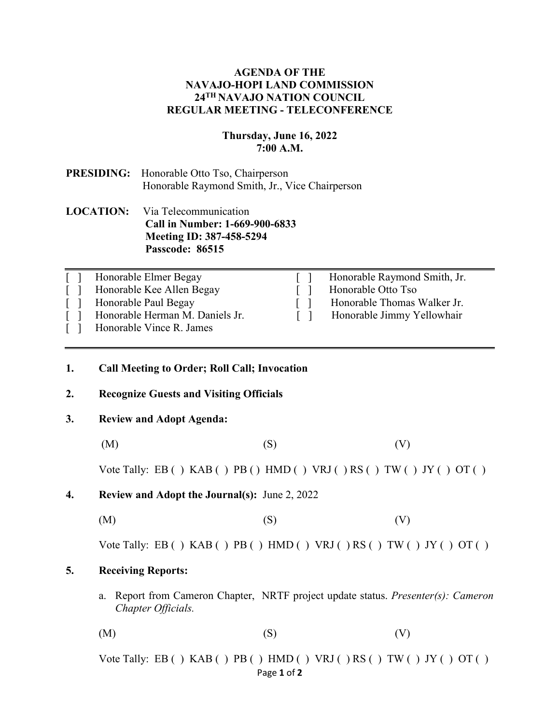## **AGENDA OF THE NAVAJO-HOPI LAND COMMISSION 24TH NAVAJO NATION COUNCIL REGULAR MEETING - TELECONFERENCE**

## **Thursday, June 16, 2022 7:00 A.M.**

# **PRESIDING:** Honorable Otto Tso, Chairperson Honorable Raymond Smith, Jr., Vice Chairperson

## **LOCATION:** Via Telecommunication **Call in Number: 1-669-900-6833 Meeting ID: 387-458-5294 Passcode: 86515**

| $\lceil$ $\rceil$ | Honorable Elmer Begay           | Honorable Raymond Smith, Jr. |
|-------------------|---------------------------------|------------------------------|
|                   | Honorable Kee Allen Begay       | Honorable Otto Tso           |
|                   | Honorable Paul Begay            | Honorable Thomas Walker Jr.  |
|                   | Honorable Herman M. Daniels Jr. | Honorable Jimmy Yellowhair   |
|                   | Honorable Vince R. James        |                              |

## **1. Call Meeting to Order; Roll Call; Invocation**

#### **2. Recognize Guests and Visiting Officials**

### **3. Review and Adopt Agenda:**

(M)  $(S)$  (V)

Vote Tally: EB ( )  $KAB$  ( )  $PB$  ( )  $HMD$  ( )  $VRJ$  ( )  $RS$  ( )  $TW$  ( )  $JY$  ( )  $OT$  ( )

- **4. Review and Adopt the Journal(s):** June 2, 2022
	- $(M)$  (S)  $(V)$

Vote Tally: EB ( )  $KAB$  ( )  $PB$  ( )  $HMD$  ( )  $VRJ$  ( )  $RS$  ( )  $TW$  ( )  $JY$  ( )  $OT$  ( )

## **5. Receiving Reports:**

a. Report from Cameron Chapter, NRTF project update status. *Presenter(s): Cameron Chapter Officials.* 

 $(M)$  (S)  $(V)$ 

Page **1** of **2** Vote Tally: EB ( )  $KAB$  ( )  $PB$  ( )  $HMD$  ( )  $VRJ$  ( )  $RS$  ( )  $TW$  ( )  $JY$  ( )  $OT$  ( )